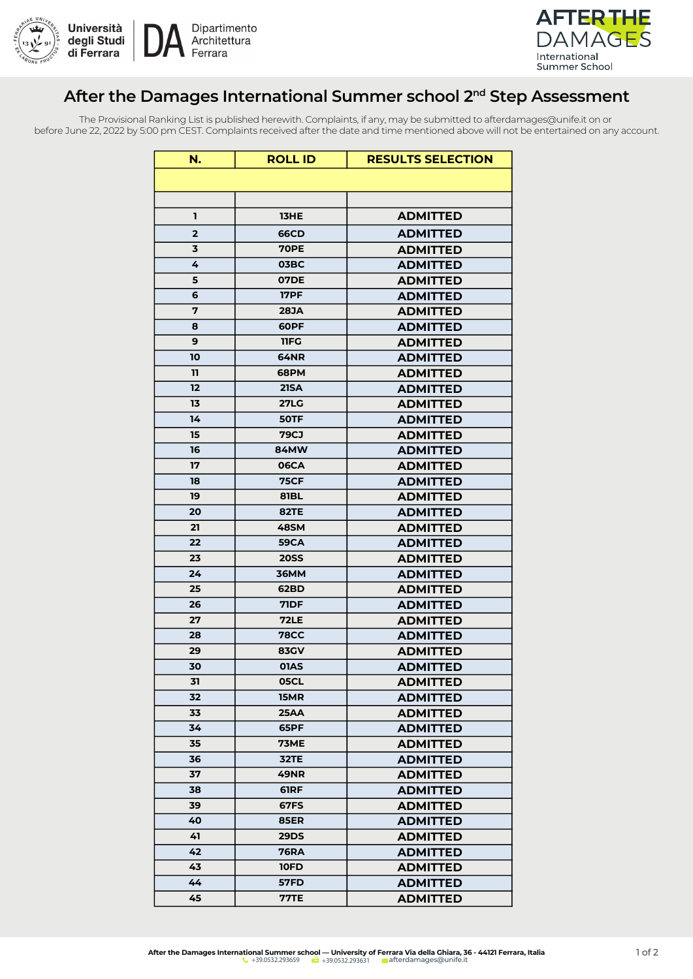



## **After the Damages International Summer school 2nd Step Assessment**

The Provisional Ranking List is published herewith. Complaints, if any, may be submitted to afterdamages@unife.it on or before June 22, 2022 by 5:00 pm CEST. Complaints received after the date and time mentioned above will not be entertained on any account.

| N.           | <b>ROLL ID</b>             | <b>RESULTS SELECTION</b>           |
|--------------|----------------------------|------------------------------------|
|              |                            |                                    |
|              |                            |                                    |
| ı            | 13HE                       | <b>ADMITTED</b>                    |
| $\mathbf{2}$ | <b>66CD</b>                | <b>ADMITTED</b>                    |
| 3            | <b>70PE</b>                | <b>ADMITTED</b>                    |
| 4            | 03BC                       | <b>ADMITTED</b>                    |
| 5            | <b>07DE</b>                | <b>ADMITTED</b>                    |
| 6            | <b>17PF</b>                | <b>ADMITTED</b>                    |
| 7            | <b>28JA</b>                | <b>ADMITTED</b>                    |
| 8            | 60PF                       | <b>ADMITTED</b>                    |
| 9            | 11FG                       | <b>ADMITTED</b>                    |
| 10           | 64NR                       | <b>ADMITTED</b>                    |
| 11           | <b>68PM</b>                | <b>ADMITTED</b>                    |
| 12           | <b>21SA</b>                | <b>ADMITTED</b>                    |
| 13           | <b>27LG</b>                | <b>ADMITTED</b>                    |
| 14           | 50TF                       | <b>ADMITTED</b>                    |
| 15           | <b>79CJ</b>                | <b>ADMITTED</b>                    |
| 16           | <b>84MW</b>                | <b>ADMITTED</b>                    |
| 17           | <b>06CA</b>                | <b>ADMITTED</b>                    |
| 18           | <b>75CF</b>                | <b>ADMITTED</b>                    |
| 19           | 81BL                       | <b>ADMITTED</b>                    |
| 20           | <b>82TE</b>                | <b>ADMITTED</b>                    |
| 21           | <b>48SM</b>                | <b>ADMITTED</b>                    |
| 22           | <b>59CA</b>                | <b>ADMITTED</b>                    |
| 23           | <b>20SS</b>                | <b>ADMITTED</b>                    |
| 24           | <b>36MM</b>                | <b>ADMITTED</b>                    |
| 25           | 62BD                       | <b>ADMITTED</b>                    |
| 26           | <b>71DF</b>                | <b>ADMITTED</b>                    |
| 27           | <b>72LE</b>                | <b>ADMITTED</b>                    |
| 28           | <b>78CC</b>                | <b>ADMITTED</b>                    |
| 29           | <b>83GV</b>                | <b>ADMITTED</b>                    |
| 30           | <b>01AS</b>                | <b>ADMITTED</b>                    |
| 31           | 05CL                       | <b>ADMITTED</b>                    |
| 32           | 15MR                       | <b>ADMITTED</b>                    |
| 33           | <b>25AA</b>                | <b>ADMITTED</b>                    |
| 34           | 65PF                       | <b>ADMITTED</b>                    |
| 35           | <b>73ME</b>                | <b>ADMITTED</b>                    |
| 36           | 32TE                       | <b>ADMITTED</b>                    |
| 37           | <b>49NR</b>                | <b>ADMITTED</b>                    |
| 38<br>39     | 61RF<br><b>67FS</b>        | <b>ADMITTED</b>                    |
| 40           |                            | <b>ADMITTED</b>                    |
| 41           | <b>85ER</b><br><b>29DS</b> | <b>ADMITTED</b>                    |
| 42           | 76RA                       | <b>ADMITTED</b><br><b>ADMITTED</b> |
| 43           | <b>10FD</b>                | <b>ADMITTED</b>                    |
| 44           | 57FD                       | <b>ADMITTED</b>                    |
| 45           | <b>77TE</b>                | <b>ADMITTED</b>                    |
|              |                            |                                    |